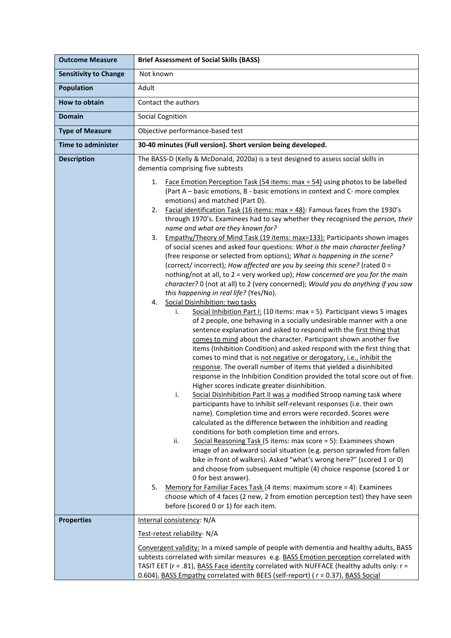| <b>Outcome Measure</b>       | <b>Brief Assessment of Social Skills (BASS)</b>                                                                                                                                                                                                                                                                                                                                                                                                                                                                                                                                                                                                                                                                                                                                                                                                                                                                                                                                                                                                                                                                                                                                                                                                                                                                                                                                                                                                                                                                                                                                                                                                                                                                                                                                                                                                                                                                                                                                                                                                                                                      |
|------------------------------|------------------------------------------------------------------------------------------------------------------------------------------------------------------------------------------------------------------------------------------------------------------------------------------------------------------------------------------------------------------------------------------------------------------------------------------------------------------------------------------------------------------------------------------------------------------------------------------------------------------------------------------------------------------------------------------------------------------------------------------------------------------------------------------------------------------------------------------------------------------------------------------------------------------------------------------------------------------------------------------------------------------------------------------------------------------------------------------------------------------------------------------------------------------------------------------------------------------------------------------------------------------------------------------------------------------------------------------------------------------------------------------------------------------------------------------------------------------------------------------------------------------------------------------------------------------------------------------------------------------------------------------------------------------------------------------------------------------------------------------------------------------------------------------------------------------------------------------------------------------------------------------------------------------------------------------------------------------------------------------------------------------------------------------------------------------------------------------------------|
| <b>Sensitivity to Change</b> | Not known                                                                                                                                                                                                                                                                                                                                                                                                                                                                                                                                                                                                                                                                                                                                                                                                                                                                                                                                                                                                                                                                                                                                                                                                                                                                                                                                                                                                                                                                                                                                                                                                                                                                                                                                                                                                                                                                                                                                                                                                                                                                                            |
| <b>Population</b>            | Adult                                                                                                                                                                                                                                                                                                                                                                                                                                                                                                                                                                                                                                                                                                                                                                                                                                                                                                                                                                                                                                                                                                                                                                                                                                                                                                                                                                                                                                                                                                                                                                                                                                                                                                                                                                                                                                                                                                                                                                                                                                                                                                |
| How to obtain                | Contact the authors                                                                                                                                                                                                                                                                                                                                                                                                                                                                                                                                                                                                                                                                                                                                                                                                                                                                                                                                                                                                                                                                                                                                                                                                                                                                                                                                                                                                                                                                                                                                                                                                                                                                                                                                                                                                                                                                                                                                                                                                                                                                                  |
| Domain                       | <b>Social Cognition</b>                                                                                                                                                                                                                                                                                                                                                                                                                                                                                                                                                                                                                                                                                                                                                                                                                                                                                                                                                                                                                                                                                                                                                                                                                                                                                                                                                                                                                                                                                                                                                                                                                                                                                                                                                                                                                                                                                                                                                                                                                                                                              |
| <b>Type of Measure</b>       | Objective performance-based test                                                                                                                                                                                                                                                                                                                                                                                                                                                                                                                                                                                                                                                                                                                                                                                                                                                                                                                                                                                                                                                                                                                                                                                                                                                                                                                                                                                                                                                                                                                                                                                                                                                                                                                                                                                                                                                                                                                                                                                                                                                                     |
| <b>Time to administer</b>    | 30-40 minutes (Full version). Short version being developed.                                                                                                                                                                                                                                                                                                                                                                                                                                                                                                                                                                                                                                                                                                                                                                                                                                                                                                                                                                                                                                                                                                                                                                                                                                                                                                                                                                                                                                                                                                                                                                                                                                                                                                                                                                                                                                                                                                                                                                                                                                         |
| <b>Description</b>           | The BASS-D (Kelly & McDonald, 2020a) is a test designed to assess social skills in<br>dementia comprising five subtests<br>Face Emotion Perception Task (54 items: max = 54) using photos to be labelled<br>1.<br>(Part A – basic emotions, B - basic emotions in context and C- more complex<br>emotions) and matched (Part D).<br>Facial identification Task (16 items: $max = 48$ ): Famous faces from the 1930's<br>2.<br>through 1970's. Examinees had to say whether they recognised the person, their<br>name and what are they known for?<br>Empathy/Theory of Mind Task (19 items: max=133): Participants shown images<br>3.<br>of social scenes and asked four questions: What is the main character feeling?<br>(free response or selected from options); What is happening in the scene?<br>(correct/incorrect); How affected are you by seeing this scene? (rated 0 =<br>nothing/not at all, to 2 = very worked up); How concerned are you for the main<br>character? 0 (not at all) to 2 (very concerned); Would you do anything if you saw<br>this happening in real life? (Yes/No).<br>Social Disinhibition: two tasks<br>4.<br>Social Inhibition Part I: (10 items: max = 5). Participant views 5 images<br>i.<br>of 2 people, one behaving in a socially undesirable manner with a one<br>sentence explanation and asked to respond with the first thing that<br>comes to mind about the character. Participant shown another five<br>items (Inhibition Condition) and asked respond with the first thing that<br>comes to mind that is not negative or derogatory, i.e., inhibit the<br>response. The overall number of items that yielded a disinhibited<br>response in the Inhibition Condition provided the total score out of five.<br>Higher scores indicate greater disinhibition.<br>Social Disinhibition Part II was a modified Stroop naming task where<br>۱.<br>participants have to inhibit self-relevant responses (i.e. their own<br>name). Completion time and errors were recorded. Scores were<br>calculated as the difference between the inhibition and reading |
|                              | conditions for both completion time and errors.<br>Social Reasoning Task (5 items: max score = 5): Examinees shown<br>ii.<br>image of an awkward social situation (e.g. person sprawled from fallen<br>bike in front of walkers). Asked "what's wrong here?" (scored 1 or 0)<br>and choose from subsequent multiple (4) choice response (scored 1 or                                                                                                                                                                                                                                                                                                                                                                                                                                                                                                                                                                                                                                                                                                                                                                                                                                                                                                                                                                                                                                                                                                                                                                                                                                                                                                                                                                                                                                                                                                                                                                                                                                                                                                                                                 |
|                              | 0 for best answer).<br>Memory for Familiar Faces Task (4 items: maximum score = 4): Examinees<br>5.<br>choose which of 4 faces (2 new, 2 from emotion perception test) they have seen<br>before (scored 0 or 1) for each item.                                                                                                                                                                                                                                                                                                                                                                                                                                                                                                                                                                                                                                                                                                                                                                                                                                                                                                                                                                                                                                                                                                                                                                                                                                                                                                                                                                                                                                                                                                                                                                                                                                                                                                                                                                                                                                                                       |
| <b>Properties</b>            | Internal consistency: N/A                                                                                                                                                                                                                                                                                                                                                                                                                                                                                                                                                                                                                                                                                                                                                                                                                                                                                                                                                                                                                                                                                                                                                                                                                                                                                                                                                                                                                                                                                                                                                                                                                                                                                                                                                                                                                                                                                                                                                                                                                                                                            |
|                              | Test-retest reliability- N/A                                                                                                                                                                                                                                                                                                                                                                                                                                                                                                                                                                                                                                                                                                                                                                                                                                                                                                                                                                                                                                                                                                                                                                                                                                                                                                                                                                                                                                                                                                                                                                                                                                                                                                                                                                                                                                                                                                                                                                                                                                                                         |
|                              | Convergent validity: In a mixed sample of people with dementia and healthy adults, BASS<br>subtests correlated with similar measures e.g. BASS Emotion perception correlated with<br>TASIT EET (r = .81), BASS Face identity correlated with NUFFACE (healthy adults only: r =<br>0.604), BASS Empathy correlated with BEES (self-report) ( r = 0.37), BASS Social                                                                                                                                                                                                                                                                                                                                                                                                                                                                                                                                                                                                                                                                                                                                                                                                                                                                                                                                                                                                                                                                                                                                                                                                                                                                                                                                                                                                                                                                                                                                                                                                                                                                                                                                   |